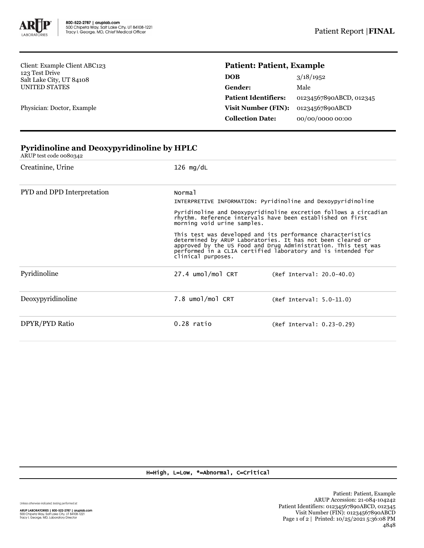

Client: Example Client ABC123 123 Test Drive Salt Lake City, UT 84108 UNITED STATES

Physician: Doctor, Example

## **Patient: Patient, Example**

| 3/18/1952               |
|-------------------------|
| Male                    |
| 01234567890ABCD, 012345 |
| 01234567890ABCD         |
| 00/00/0000 00:00        |
|                         |

| Creatinine, Urine          | 126 $mg/dL$                                                                                                                                                                                                                                                                        |                            |  |
|----------------------------|------------------------------------------------------------------------------------------------------------------------------------------------------------------------------------------------------------------------------------------------------------------------------------|----------------------------|--|
| PYD and DPD Interpretation | Normal                                                                                                                                                                                                                                                                             |                            |  |
|                            | INTERPRETIVE INFORMATION: Pyridinoline and Dexoypyridinoline                                                                                                                                                                                                                       |                            |  |
|                            | Pyridinoline and Deoxypyridinoline excretion follows a circadian<br>rhythm. Reference intervals have been established on first<br>morning void urine samples.                                                                                                                      |                            |  |
|                            | This test was developed and its performance characteristics<br>determined by ARUP Laboratories. It has not been cleared or<br>approved by the US Food and Drug Administration. This test was<br>performed in a CLIA certified laboratory and is intended for<br>clinical purposes. |                            |  |
| Pyridinoline               | 27.4 umol/mol CRT                                                                                                                                                                                                                                                                  | (Ref Interval: 20.0-40.0)  |  |
| Deoxypyridinoline          | 7.8 umol/mol CRT                                                                                                                                                                                                                                                                   | $(Ref Interval: 5.0-11.0)$ |  |
| DPYR/PYD Ratio             | 0.28 ratio                                                                                                                                                                                                                                                                         | (Ref Interval: 0.23-0.29)  |  |

## **Pyridinoline and Deoxypyridinoline by HPLC** ARUP test code 0080342

H=High, L=Low, \*=Abnormal, C=Critical

Unless otherwise indicated, testing performed at: